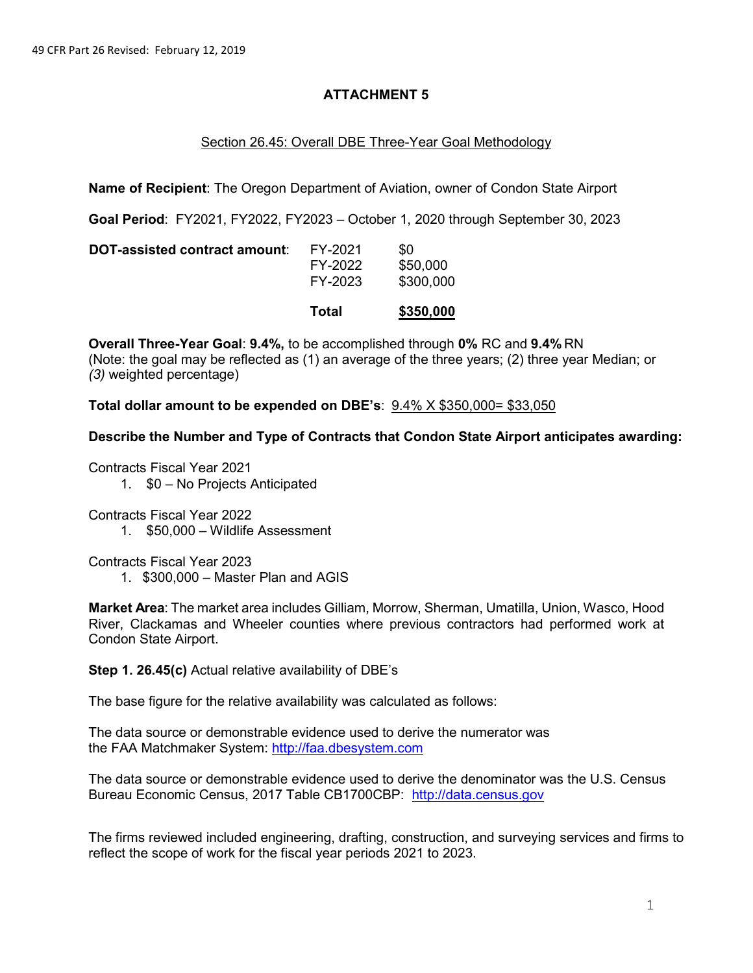## **ATTACHMENT 5**

## Section 26.45: Overall DBE Three-Year Goal Methodology

**Name of Recipient**: The Oregon Department of Aviation, owner of Condon State Airport

**Goal Period**: FY2021, FY2022, FY2023 – October 1, 2020 through September 30, 2023

|                               | Total                         | \$350,000                    |
|-------------------------------|-------------------------------|------------------------------|
| DOT-assisted contract amount: | FY-2021<br>FY-2022<br>FY-2023 | \$0<br>\$50,000<br>\$300,000 |

**Overall Three-Year Goal**: **9.4%,** to be accomplished through **0%** RC and **9.4%** RN (Note: the goal may be reflected as (1) an average of the three years; (2) three year Median; or *(3)* weighted percentage)

**Total dollar amount to be expended on DBE's**: 9.4% X \$350,000= \$33,050

**Describe the Number and Type of Contracts that Condon State Airport anticipates awarding:**

Contracts Fiscal Year 2021

1. \$0 – No Projects Anticipated

Contracts Fiscal Year 2022

1. \$50,000 – Wildlife Assessment

Contracts Fiscal Year 2023

1. \$300,000 – Master Plan and AGIS

**Market Area**: The market area includes Gilliam, Morrow, Sherman, Umatilla, Union, Wasco, Hood River, Clackamas and Wheeler counties where previous contractors had performed work at Condon State Airport.

**Step 1. 26.45(c)** Actual relative availability of DBE's

The base figure for the relative availability was calculated as follows:

The data source or demonstrable evidence used to derive the numerator was the FAA Matchmaker System: [http://faa.dbesystem.com](http://faa.dbesystem.com/)

The data source or demonstrable evidence used to derive the denominator was the U.S. Census Bureau Economic Census, 2017 Table CB1700CBP: [http://data.census.gov](http://data.census.gov/)

The firms reviewed included engineering, drafting, construction, and surveying services and firms to reflect the scope of work for the fiscal year periods 2021 to 2023.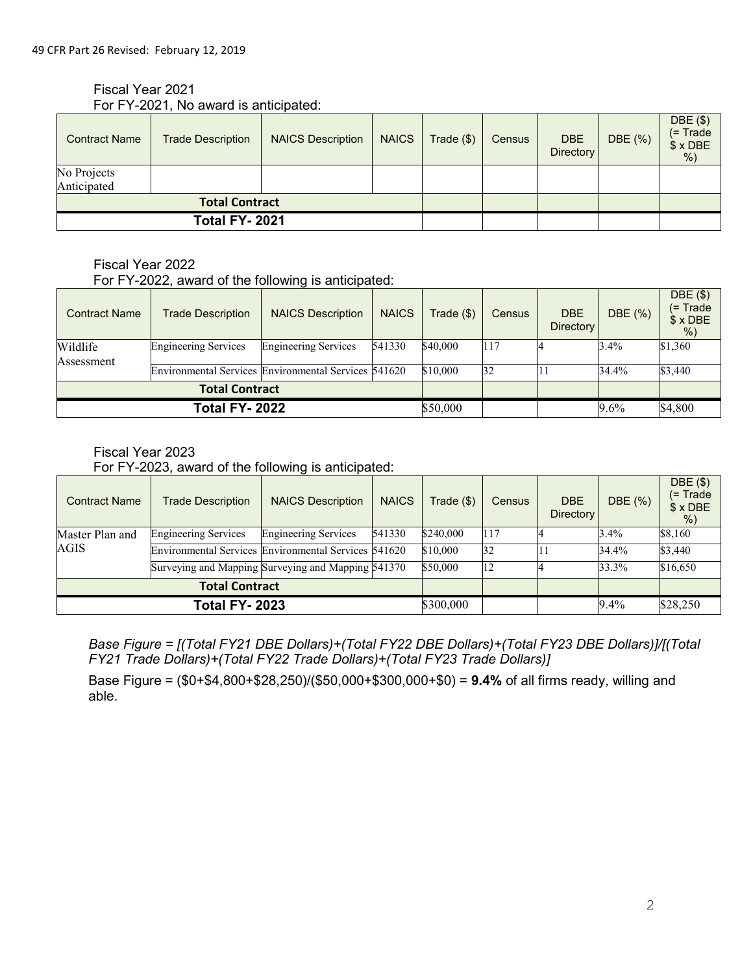# Fiscal Year 2021

| For FY-2021, No award is anticipated: |  |
|---------------------------------------|--|
|                                       |  |

| <b>Contract Name</b>       | <b>Trade Description</b> | <b>NAICS Description</b> | <b>NAICS</b> | Trade ( \$) | Census | <b>DBE</b><br>Directory | DBE (%) | DBE (\$)<br>$($ = Trade<br>$$ \times$ DBE<br>$%$ ) |
|----------------------------|--------------------------|--------------------------|--------------|-------------|--------|-------------------------|---------|----------------------------------------------------|
| No Projects<br>Anticipated |                          |                          |              |             |        |                         |         |                                                    |
| <b>Total Contract</b>      |                          |                          |              |             |        |                         |         |                                                    |
| <b>Total FY-2021</b>       |                          |                          |              |             |        |                         |         |                                                    |

# Fiscal Year 2022

For FY-2022, award of the following is anticipated:

| <b>Contract Name</b>   | <b>Trade Description</b>    | <b>NAICS Description</b>                             | <b>NAICS</b> | Trade (\$) | Census | <b>DBE</b><br><b>Directory</b> | DBE (%) | DBE(\$)<br>$(= Trade)$<br>$$ \times$ DBE<br>$%$ ) |
|------------------------|-----------------------------|------------------------------------------------------|--------------|------------|--------|--------------------------------|---------|---------------------------------------------------|
| Wildlife<br>Assessment | <b>Engineering Services</b> | <b>Engineering Services</b>                          | 541330       | \$40,000   | 117    |                                | 3.4%    | \$1,360                                           |
|                        |                             | Environmental Services Environmental Services 541620 |              | \$10,000   | 32     |                                | 34.4%   | \$3,440                                           |
| <b>Total Contract</b>  |                             |                                                      |              |            |        |                                |         |                                                   |
|                        | <b>Total FY-2022</b>        |                                                      |              | \$50,000   |        |                                | 9.6%    | \$4,800                                           |

#### Fiscal Year 2023

For FY-2023, award of the following is anticipated:

| <b>Contract Name</b>  | <b>Trade Description</b>                             | <b>NAICS Description</b>    | <b>NAICS</b> | Trade (\$) | <b>Census</b> | <b>DBE</b><br><b>Directory</b> | DBE (%) | DBE(\$)<br>$(= Trace)$<br>$$×$ DBE<br>$%$ ) |
|-----------------------|------------------------------------------------------|-----------------------------|--------------|------------|---------------|--------------------------------|---------|---------------------------------------------|
| Master Plan and       | <b>Engineering Services</b>                          | <b>Engineering Services</b> | 541330       | \$240,000  | 117           |                                | 3.4%    | \$8,160                                     |
| AGIS                  | Environmental Services Environmental Services 541620 |                             |              | \$10,000   | 32            |                                | 34.4%   | \$3,440                                     |
|                       | Surveying and Mapping Surveying and Mapping 541370   |                             |              | \$50,000   | 12            |                                | 33.3%   | \$16,650                                    |
| <b>Total Contract</b> |                                                      |                             |              |            |               |                                |         |                                             |
|                       | <b>Total FY-2023</b>                                 |                             |              | \$300,000  |               |                                | 9.4%    | \$28,250                                    |

*Base Figure = [(Total FY21 DBE Dollars)+(Total FY22 DBE Dollars)+(Total FY23 DBE Dollars)]/[(Total FY21 Trade Dollars)+(Total FY22 Trade Dollars)+(Total FY23 Trade Dollars)]*

Base Figure = (\$0+\$4,800+\$28,250)/(\$50,000+\$300,000+\$0) = **9.4%** of all firms ready, willing and able.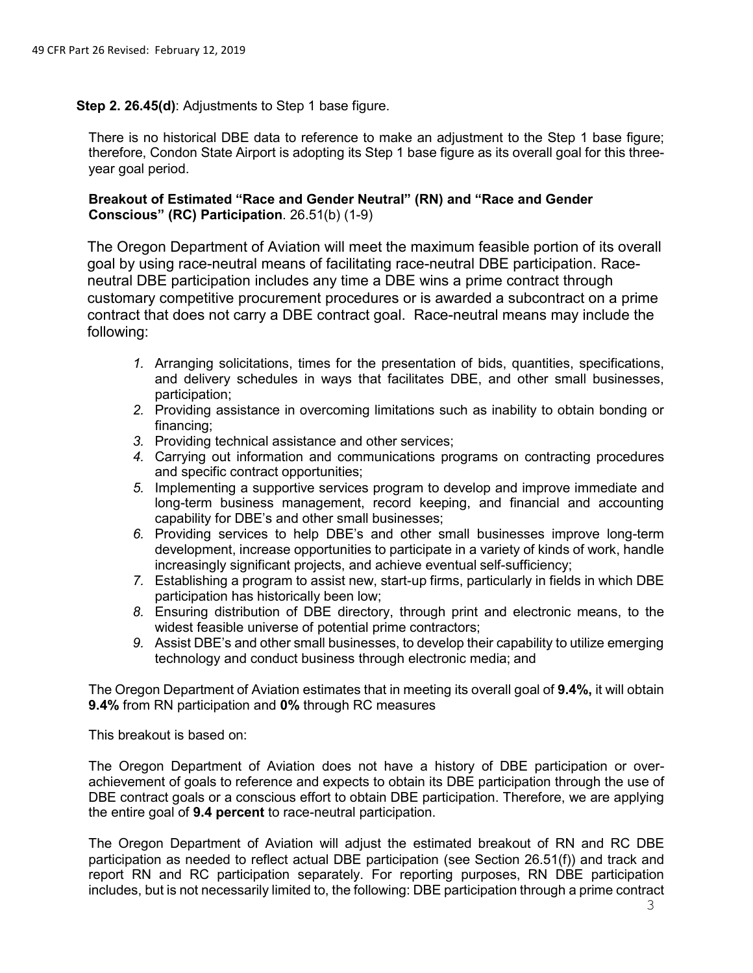**Step 2. 26.45(d)**: Adjustments to Step 1 base figure.

There is no historical DBE data to reference to make an adjustment to the Step 1 base figure; therefore, Condon State Airport is adopting its Step 1 base figure as its overall goal for this threeyear goal period.

#### **Breakout of Estimated "Race and Gender Neutral" (RN) and "Race and Gender Conscious" (RC) Participation**. 26.51(b) (1-9)

The Oregon Department of Aviation will meet the maximum feasible portion of its overall goal by using race-neutral means of facilitating race-neutral DBE participation. Raceneutral DBE participation includes any time a DBE wins a prime contract through customary competitive procurement procedures or is awarded a subcontract on a prime contract that does not carry a DBE contract goal. Race-neutral means may include the following:

- *1.* Arranging solicitations, times for the presentation of bids, quantities, specifications, and delivery schedules in ways that facilitates DBE, and other small businesses, participation;
- *2.* Providing assistance in overcoming limitations such as inability to obtain bonding or financing;
- *3.* Providing technical assistance and other services;
- *4.* Carrying out information and communications programs on contracting procedures and specific contract opportunities;
- *5.* Implementing a supportive services program to develop and improve immediate and long-term business management, record keeping, and financial and accounting capability for DBE's and other small businesses;
- *6.* Providing services to help DBE's and other small businesses improve long-term development, increase opportunities to participate in a variety of kinds of work, handle increasingly significant projects, and achieve eventual self-sufficiency;
- *7.* Establishing a program to assist new, start-up firms, particularly in fields in which DBE participation has historically been low;
- *8.* Ensuring distribution of DBE directory, through print and electronic means, to the widest feasible universe of potential prime contractors;
- *9.* Assist DBE's and other small businesses, to develop their capability to utilize emerging technology and conduct business through electronic media; and

The Oregon Department of Aviation estimates that in meeting its overall goal of **9.4%,** it will obtain **9.4%** from RN participation and **0%** through RC measures

This breakout is based on:

The Oregon Department of Aviation does not have a history of DBE participation or overachievement of goals to reference and expects to obtain its DBE participation through the use of DBE contract goals or a conscious effort to obtain DBE participation. Therefore, we are applying the entire goal of **9.4 percent** to race-neutral participation.

The Oregon Department of Aviation will adjust the estimated breakout of RN and RC DBE participation as needed to reflect actual DBE participation (see Section 26.51(f)) and track and report RN and RC participation separately. For reporting purposes, RN DBE participation includes, but is not necessarily limited to, the following: DBE participation through a prime contract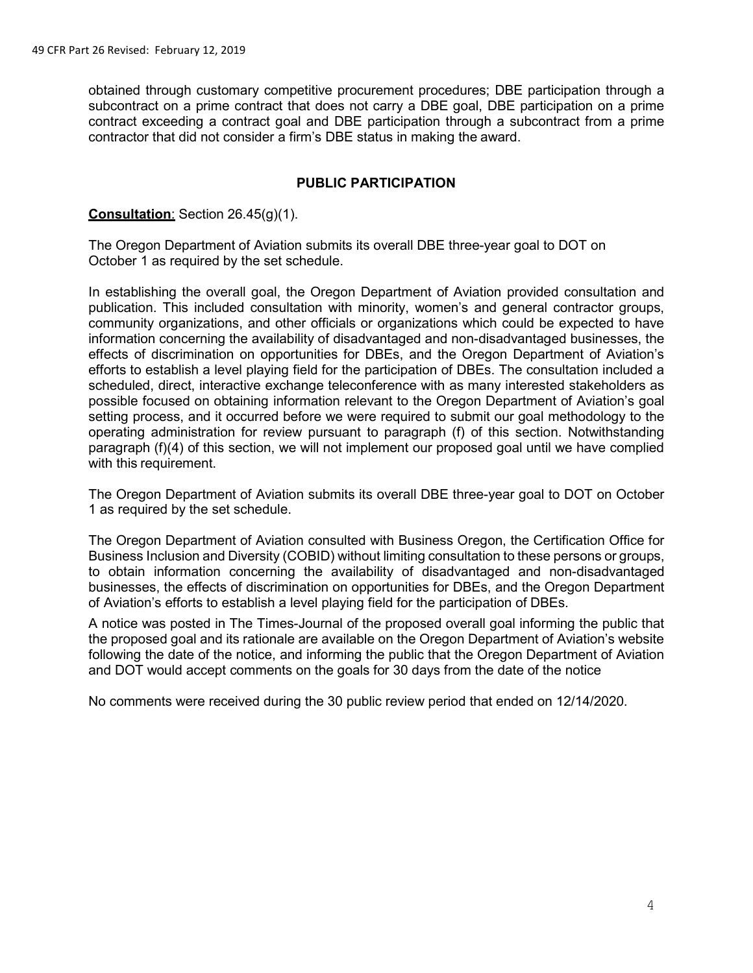obtained through customary competitive procurement procedures; DBE participation through a subcontract on a prime contract that does not carry a DBE goal, DBE participation on a prime contract exceeding a contract goal and DBE participation through a subcontract from a prime contractor that did not consider a firm's DBE status in making the award.

#### **PUBLIC PARTICIPATION**

#### **Consultation**: Section 26.45(g)(1).

The Oregon Department of Aviation submits its overall DBE three-year goal to DOT on October 1 as required by the set schedule.

In establishing the overall goal, the Oregon Department of Aviation provided consultation and publication. This included consultation with minority, women's and general contractor groups, community organizations, and other officials or organizations which could be expected to have information concerning the availability of disadvantaged and non-disadvantaged businesses, the effects of discrimination on opportunities for DBEs, and the Oregon Department of Aviation's efforts to establish a level playing field for the participation of DBEs. The consultation included a scheduled, direct, interactive exchange teleconference with as many interested stakeholders as possible focused on obtaining information relevant to the Oregon Department of Aviation's goal setting process, and it occurred before we were required to submit our goal methodology to the operating administration for review pursuant to paragraph (f) of this section. Notwithstanding paragraph (f)(4) of this section, we will not implement our proposed goal until we have complied with this requirement.

The Oregon Department of Aviation submits its overall DBE three-year goal to DOT on October 1 as required by the set schedule.

The Oregon Department of Aviation consulted with Business Oregon, the Certification Office for Business Inclusion and Diversity (COBID) without limiting consultation to these persons or groups, to obtain information concerning the availability of disadvantaged and non-disadvantaged businesses, the effects of discrimination on opportunities for DBEs, and the Oregon Department of Aviation's efforts to establish a level playing field for the participation of DBEs.

A notice was posted in The Times-Journal of the proposed overall goal informing the public that the proposed goal and its rationale are available on the Oregon Department of Aviation's website following the date of the notice, and informing the public that the Oregon Department of Aviation and DOT would accept comments on the goals for 30 days from the date of the notice

No comments were received during the 30 public review period that ended on 12/14/2020.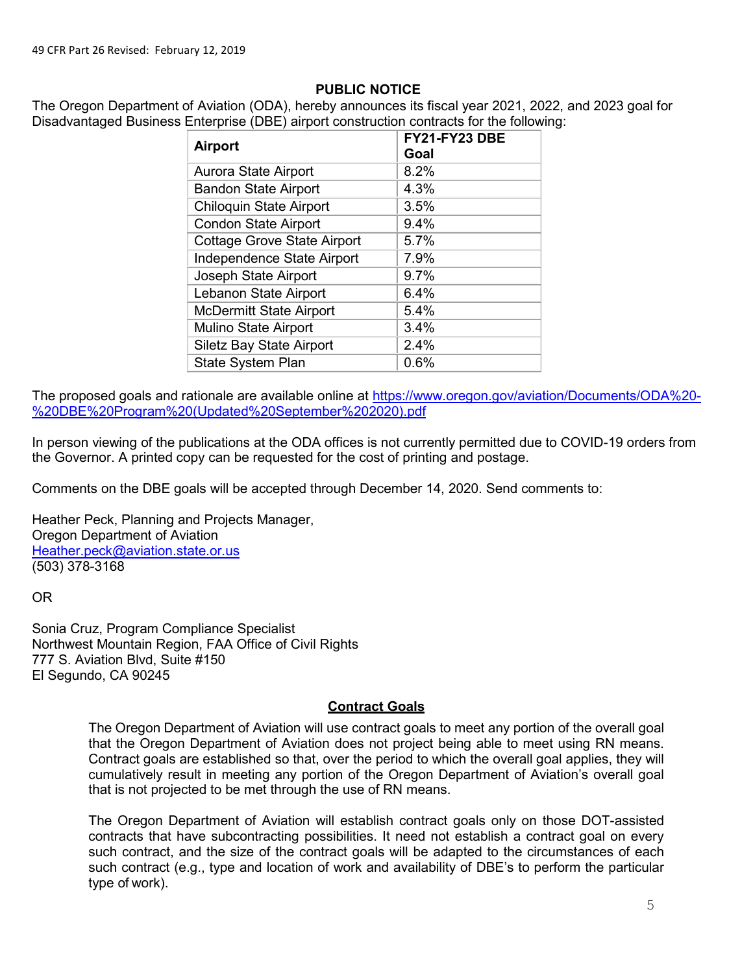# **PUBLIC NOTICE**

The Oregon Department of Aviation (ODA), hereby announces its fiscal year 2021, 2022, and 2023 goal for Disadvantaged Business Enterprise (DBE) airport construction contracts for the following:

| <b>Airport</b>                     | FY21-FY23 DBE<br>Goal |
|------------------------------------|-----------------------|
| Aurora State Airport               | 8.2%                  |
| <b>Bandon State Airport</b>        | 4.3%                  |
| <b>Chiloquin State Airport</b>     | 3.5%                  |
| <b>Condon State Airport</b>        | 9.4%                  |
| <b>Cottage Grove State Airport</b> | 5.7%                  |
| Independence State Airport         | 7.9%                  |
| Joseph State Airport               | 9.7%                  |
| Lebanon State Airport              | 6.4%                  |
| <b>McDermitt State Airport</b>     | 5.4%                  |
| <b>Mulino State Airport</b>        | 3.4%                  |
| Siletz Bay State Airport           | 2.4%                  |
| <b>State System Plan</b>           | 0.6%                  |

The proposed goals and rationale are available online at [https://www.oregon.gov/aviation/Documents/ODA%20-](https://www.oregon.gov/aviation/Documents/ODA%20-%20DBE%20Program%20(Updated%20September%202020).pdf) [%20DBE%20Program%20\(Updated%20September%202020\).pdf](https://www.oregon.gov/aviation/Documents/ODA%20-%20DBE%20Program%20(Updated%20September%202020).pdf)

In person viewing of the publications at the ODA offices is not currently permitted due to COVID-19 orders from the Governor. A printed copy can be requested for the cost of printing and postage.

Comments on the DBE goals will be accepted through December 14, 2020. Send comments to:

Heather Peck, Planning and Projects Manager, Oregon Department of Aviation [Heather.peck@aviation.state.or.us](mailto:Heather.peck@aviation.state.or.us) (503) 378-3168

OR

Sonia Cruz, Program Compliance Specialist Northwest Mountain Region, FAA Office of Civil Rights 777 S. Aviation Blvd, Suite #150 El Segundo, CA 90245

# **Contract Goals**

The Oregon Department of Aviation will use contract goals to meet any portion of the overall goal that the Oregon Department of Aviation does not project being able to meet using RN means. Contract goals are established so that, over the period to which the overall goal applies, they will cumulatively result in meeting any portion of the Oregon Department of Aviation's overall goal that is not projected to be met through the use of RN means.

The Oregon Department of Aviation will establish contract goals only on those DOT-assisted contracts that have subcontracting possibilities. It need not establish a contract goal on every such contract, and the size of the contract goals will be adapted to the circumstances of each such contract (e.g., type and location of work and availability of DBE's to perform the particular type of work).